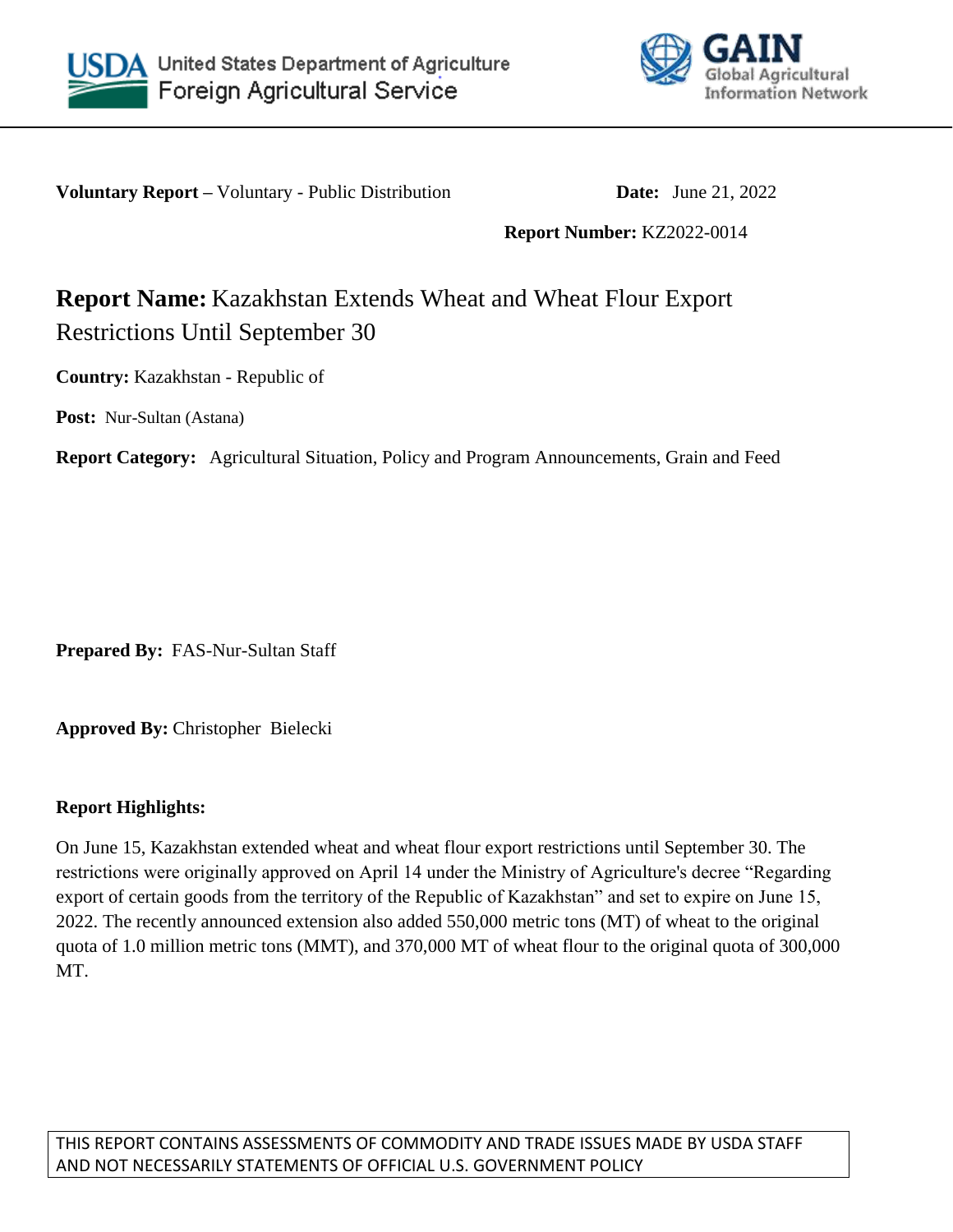



**Voluntary Report** – Voluntary - Public Distribution **Date:** June 21, 2022

**Report Number:** KZ2022-0014

# **Report Name:** Kazakhstan Extends Wheat and Wheat Flour Export Restrictions Until September 30

**Country:** Kazakhstan - Republic of

**Post:** Nur-Sultan (Astana)

**Report Category:** Agricultural Situation, Policy and Program Announcements, Grain and Feed

**Prepared By:** FAS-Nur-Sultan Staff

**Approved By:** Christopher Bielecki

## **Report Highlights:**

On June 15, Kazakhstan extended wheat and wheat flour export restrictions until September 30. The restrictions were originally approved on April 14 under the Ministry of Agriculture's decree "Regarding export of certain goods from the territory of the Republic of Kazakhstan" and set to expire on June 15, 2022. The recently announced extension also added 550,000 metric tons (MT) of wheat to the original quota of 1.0 million metric tons (MMT), and 370,000 MT of wheat flour to the original quota of 300,000 MT.

THIS REPORT CONTAINS ASSESSMENTS OF COMMODITY AND TRADE ISSUES MADE BY USDA STAFF AND NOT NECESSARILY STATEMENTS OF OFFICIAL U.S. GOVERNMENT POLICY